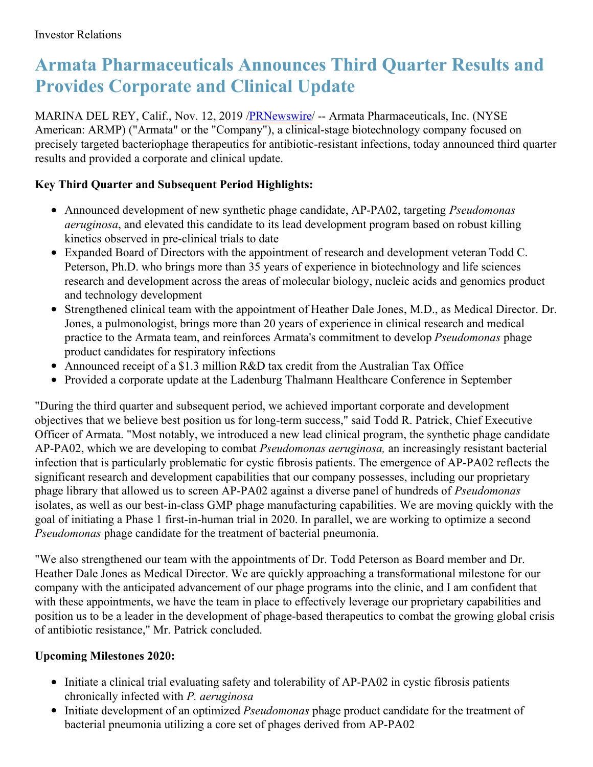# **Armata Pharmaceuticals Announces Third Quarter Results and Provides Corporate and Clinical Update**

MARINA DEL REY, Calif., Nov. 12, 2019 [/PRNewswire](http://www.prnewswire.com/)/ -- Armata Pharmaceuticals, Inc. (NYSE American: ARMP) ("Armata" or the "Company"), a clinical-stage biotechnology company focused on precisely targeted bacteriophage therapeutics for antibiotic-resistant infections, today announced third quarter results and provided a corporate and clinical update.

# **Key Third Quarter and Subsequent Period Highlights:**

- Announced development of new synthetic phage candidate, AP-PA02, targeting *Pseudomonas aeruginosa*, and elevated this candidate to its lead development program based on robust killing kinetics observed in pre-clinical trials to date
- Expanded Board of Directors with the appointment of research and development veteran Todd C. Peterson, Ph.D. who brings more than 35 years of experience in biotechnology and life sciences research and development across the areas of molecular biology, nucleic acids and genomics product and technology development
- Strengthened clinical team with the appointment of Heather Dale Jones, M.D., as Medical Director. Dr. Jones, a pulmonologist, brings more than 20 years of experience in clinical research and medical practice to the Armata team, and reinforces Armata's commitment to develop *Pseudomonas* phage product candidates for respiratory infections
- Announced receipt of a \$1.3 million R&D tax credit from the Australian Tax Office  $\bullet$
- Provided a corporate update at the Ladenburg Thalmann Healthcare Conference in September

"During the third quarter and subsequent period, we achieved important corporate and development objectives that we believe best position us for long-term success," said Todd R. Patrick, Chief Executive Officer of Armata. "Most notably, we introduced a new lead clinical program, the synthetic phage candidate AP-PA02, which we are developing to combat *Pseudomonas aeruginosa,* an increasingly resistant bacterial infection that is particularly problematic for cystic fibrosis patients. The emergence of AP-PA02 reflects the significant research and development capabilities that our company possesses, including our proprietary phage library that allowed us to screen AP-PA02 against a diverse panel of hundreds of *Pseudomonas* isolates, as well as our best-in-class GMP phage manufacturing capabilities. We are moving quickly with the goal of initiating a Phase 1 first-in-human trial in 2020. In parallel, we are working to optimize a second *Pseudomonas* phage candidate for the treatment of bacterial pneumonia.

"We also strengthened our team with the appointments of Dr. Todd Peterson as Board member and Dr. Heather Dale Jones as Medical Director. We are quickly approaching a transformational milestone for our company with the anticipated advancement of our phage programs into the clinic, and I am confident that with these appointments, we have the team in place to effectively leverage our proprietary capabilities and position us to be a leader in the development of phage-based therapeutics to combat the growing global crisis of antibiotic resistance," Mr. Patrick concluded.

# **Upcoming Milestones 2020:**

- Initiate a clinical trial evaluating safety and tolerability of AP-PA02 in cystic fibrosis patients chronically infected with *P. aeruginosa*
- Initiate development of an optimized *Pseudomonas* phage product candidate for the treatment of bacterial pneumonia utilizing a core set of phages derived from AP-PA02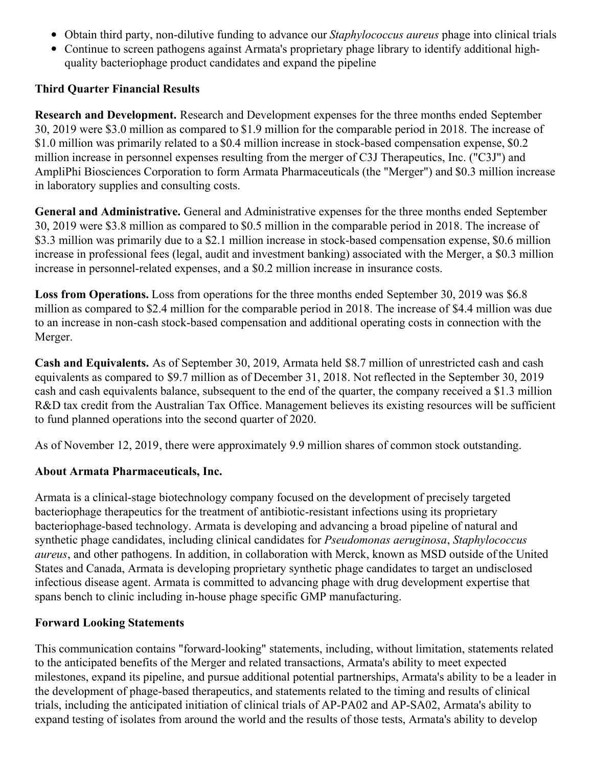- Obtain third party, non-dilutive funding to advance our *Staphylococcus aureus* phage into clinical trials
- Continue to screen pathogens against Armata's proprietary phage library to identify additional highquality bacteriophage product candidates and expand the pipeline

## **Third Quarter Financial Results**

**Research and Development.** Research and Development expenses for the three months ended September 30, 2019 were \$3.0 million as compared to \$1.9 million for the comparable period in 2018. The increase of \$1.0 million was primarily related to a \$0.4 million increase in stock-based compensation expense, \$0.2 million increase in personnel expenses resulting from the merger of C3J Therapeutics, Inc. ("C3J") and AmpliPhi Biosciences Corporation to form Armata Pharmaceuticals (the "Merger") and \$0.3 million increase in laboratory supplies and consulting costs.

**General and Administrative.** General and Administrative expenses for the three months ended September 30, 2019 were \$3.8 million as compared to \$0.5 million in the comparable period in 2018. The increase of \$3.3 million was primarily due to a \$2.1 million increase in stock-based compensation expense, \$0.6 million increase in professional fees (legal, audit and investment banking) associated with the Merger, a \$0.3 million increase in personnel-related expenses, and a \$0.2 million increase in insurance costs.

**Loss from Operations.** Loss from operations for the three months ended September 30, 2019 was \$6.8 million as compared to \$2.4 million for the comparable period in 2018. The increase of \$4.4 million was due to an increase in non-cash stock-based compensation and additional operating costs in connection with the Merger.

**Cash and Equivalents.** As of September 30, 2019, Armata held \$8.7 million of unrestricted cash and cash equivalents as compared to \$9.7 million as of December 31, 2018. Not reflected in the September 30, 2019 cash and cash equivalents balance, subsequent to the end of the quarter, the company received a \$1.3 million R&D tax credit from the Australian Tax Office. Management believes its existing resources will be sufficient to fund planned operations into the second quarter of 2020.

As of November 12, 2019, there were approximately 9.9 million shares of common stock outstanding.

# **About Armata Pharmaceuticals, Inc.**

Armata is a clinical-stage biotechnology company focused on the development of precisely targeted bacteriophage therapeutics for the treatment of antibiotic-resistant infections using its proprietary bacteriophage-based technology. Armata is developing and advancing a broad pipeline of natural and synthetic phage candidates, including clinical candidates for *Pseudomonas aeruginosa*, *Staphylococcus aureus*, and other pathogens. In addition, in collaboration with Merck, known as MSD outside ofthe United States and Canada, Armata is developing proprietary synthetic phage candidates to target an undisclosed infectious disease agent. Armata is committed to advancing phage with drug development expertise that spans bench to clinic including in-house phage specific GMP manufacturing.

## **Forward Looking Statements**

This communication contains "forward-looking" statements, including, without limitation, statements related to the anticipated benefits of the Merger and related transactions, Armata's ability to meet expected milestones, expand its pipeline, and pursue additional potential partnerships, Armata's ability to be a leader in the development of phage-based therapeutics, and statements related to the timing and results of clinical trials, including the anticipated initiation of clinical trials of AP-PA02 and AP-SA02, Armata's ability to expand testing of isolates from around the world and the results of those tests, Armata's ability to develop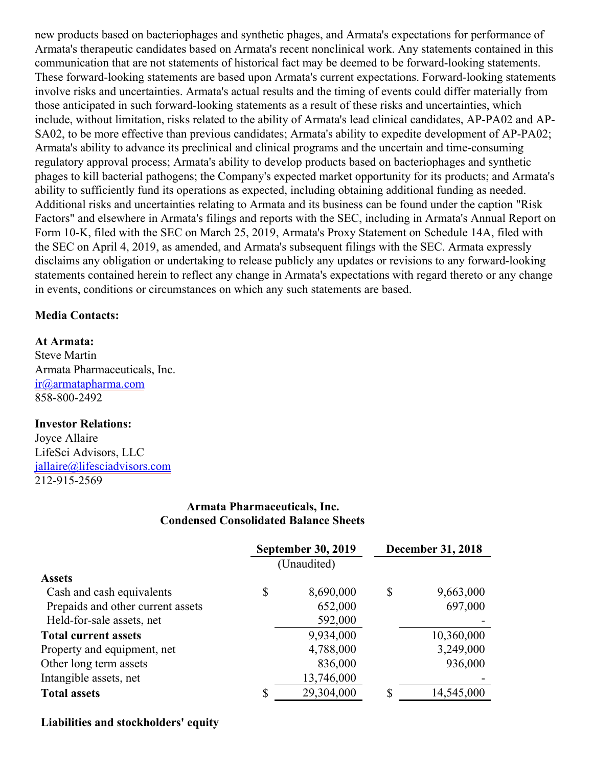new products based on bacteriophages and synthetic phages, and Armata's expectations for performance of Armata's therapeutic candidates based on Armata's recent nonclinical work. Any statements contained in this communication that are not statements of historical fact may be deemed to be forward-looking statements. These forward-looking statements are based upon Armata's current expectations. Forward-looking statements involve risks and uncertainties. Armata's actual results and the timing of events could differ materially from those anticipated in such forward-looking statements as a result of these risks and uncertainties, which include, without limitation, risks related to the ability of Armata's lead clinical candidates, AP-PA02 and AP-SA02, to be more effective than previous candidates; Armata's ability to expedite development of AP-PA02; Armata's ability to advance its preclinical and clinical programs and the uncertain and time-consuming regulatory approval process; Armata's ability to develop products based on bacteriophages and synthetic phages to kill bacterial pathogens; the Company's expected market opportunity for its products; and Armata's ability to sufficiently fund its operations as expected, including obtaining additional funding as needed. Additional risks and uncertainties relating to Armata and its business can be found under the caption "Risk Factors" and elsewhere in Armata's filings and reports with the SEC, including in Armata's Annual Report on Form 10-K, filed with the SEC on March 25, 2019, Armata's Proxy Statement on Schedule 14A, filed with the SEC on April 4, 2019, as amended, and Armata's subsequent filings with the SEC. Armata expressly disclaims any obligation or undertaking to release publicly any updates or revisions to any forward-looking statements contained herein to reflect any change in Armata's expectations with regard thereto or any change in events, conditions or circumstances on which any such statements are based.

#### **Media Contacts:**

#### **At Armata:**

Steve Martin Armata Pharmaceuticals, Inc. [ir@armatapharma.com](mailto:ir@armatapharma.com) 858-800-2492

#### **Investor Relations:**

Joyce Allaire LifeSci Advisors, LLC [jallaire@lifesciadvisors.com](mailto:jallaire@lifesciadvisors.com) 212-915-2569

### **Armata Pharmaceuticals, Inc. Condensed Consolidated Balance Sheets**

|                                   | <b>September 30, 2019</b> |             | <b>December 31, 2018</b> |            |  |
|-----------------------------------|---------------------------|-------------|--------------------------|------------|--|
|                                   |                           | (Unaudited) |                          |            |  |
| <b>Assets</b>                     |                           |             |                          |            |  |
| Cash and cash equivalents         | \$                        | 8,690,000   | \$                       | 9,663,000  |  |
| Prepaids and other current assets |                           | 652,000     |                          | 697,000    |  |
| Held-for-sale assets, net         |                           | 592,000     |                          |            |  |
| <b>Total current assets</b>       |                           | 9,934,000   |                          | 10,360,000 |  |
| Property and equipment, net       |                           | 4,788,000   |                          | 3,249,000  |  |
| Other long term assets            |                           | 836,000     |                          | 936,000    |  |
| Intangible assets, net            |                           | 13,746,000  |                          |            |  |
| <b>Total assets</b>               | \$                        | 29,304,000  | \$                       | 14,545,000 |  |

#### **Liabilities and stockholders' equity**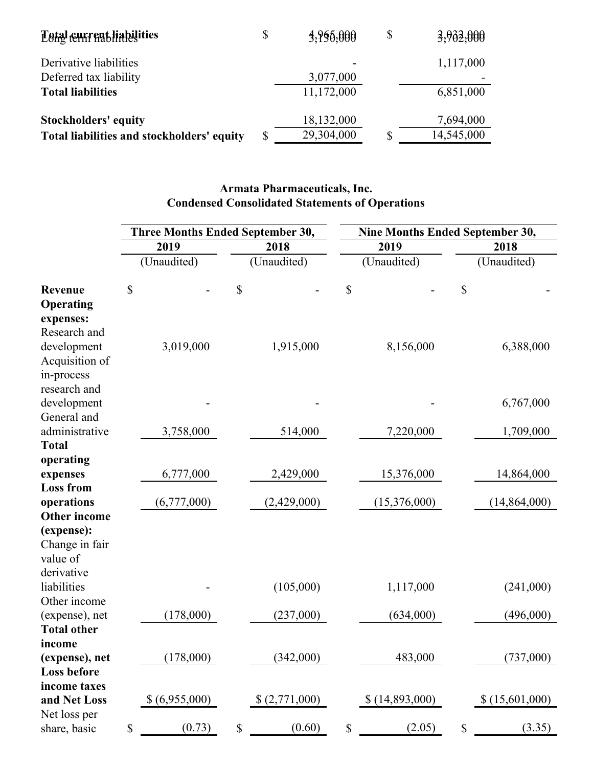| <b>Estal current liabilities</b>           | \$<br>3,965,000  | $\boldsymbol{\mathsf{S}}$ | 3,902,000  |
|--------------------------------------------|------------------|---------------------------|------------|
| Derivative liabilities                     |                  |                           | 1,117,000  |
| Deferred tax liability                     | 3,077,000        |                           |            |
| <b>Total liabilities</b>                   | 11,172,000       |                           | 6,851,000  |
| <b>Stockholders' equity</b>                | 18,132,000       |                           | 7,694,000  |
| Total liabilities and stockholders' equity | \$<br>29,304,000 |                           | 14,545,000 |

# **Armata Pharmaceuticals, Inc. Condensed Consolidated Statements of Operations**

|                                                             | <b>Three Months Ended September 30,</b> |               |                                                                       |               | <b>Nine Months Ended September 30,</b> |                |             |                |  |
|-------------------------------------------------------------|-----------------------------------------|---------------|-----------------------------------------------------------------------|---------------|----------------------------------------|----------------|-------------|----------------|--|
|                                                             | 2019                                    |               |                                                                       | 2018          |                                        | 2019           | 2018        |                |  |
|                                                             |                                         | (Unaudited)   |                                                                       | (Unaudited)   |                                        | (Unaudited)    |             | (Unaudited)    |  |
| Revenue<br>Operating<br>expenses:                           | \$                                      |               | \$                                                                    |               | \$                                     |                | \$          |                |  |
| Research and<br>development<br>Acquisition of<br>in-process |                                         | 3,019,000     |                                                                       | 1,915,000     |                                        | 8,156,000      |             | 6,388,000      |  |
| research and<br>development<br>General and                  |                                         |               |                                                                       |               |                                        |                |             | 6,767,000      |  |
| administrative<br><b>Total</b>                              |                                         | 3,758,000     |                                                                       | 514,000       |                                        | 7,220,000      |             | 1,709,000      |  |
| operating<br>expenses<br><b>Loss from</b>                   |                                         | 6,777,000     |                                                                       | 2,429,000     |                                        | 15,376,000     |             | 14,864,000     |  |
| operations<br><b>Other income</b>                           |                                         | (6,777,000)   |                                                                       | (2,429,000)   |                                        | (15,376,000)   |             | (14, 864, 000) |  |
| (expense):<br>Change in fair<br>value of                    |                                         |               |                                                                       |               |                                        |                |             |                |  |
| derivative<br>liabilities<br>Other income                   |                                         |               |                                                                       | (105,000)     |                                        | 1,117,000      |             | (241,000)      |  |
| (expense), net<br><b>Total other</b>                        |                                         | (178,000)     |                                                                       | (237,000)     |                                        | (634,000)      |             | (496,000)      |  |
| income<br>(expense), net<br>Loss before                     |                                         | (178,000)     |                                                                       | (342,000)     |                                        | 483,000        |             | (737,000)      |  |
| income taxes<br>and Net Loss                                |                                         | \$(6,955,000) |                                                                       | \$(2,771,000) |                                        | \$(14,893,000) |             | \$(15,601,000) |  |
| Net loss per<br>share, basic                                | $\mathbb S$                             | (0.73)        | $\mathbb{S}% _{t}\left( t\right) \equiv\mathbb{S}_{t}\left( t\right)$ | (0.60)        | $\mathbb{S}$                           | (2.05)         | $\mathbb S$ | (3.35)         |  |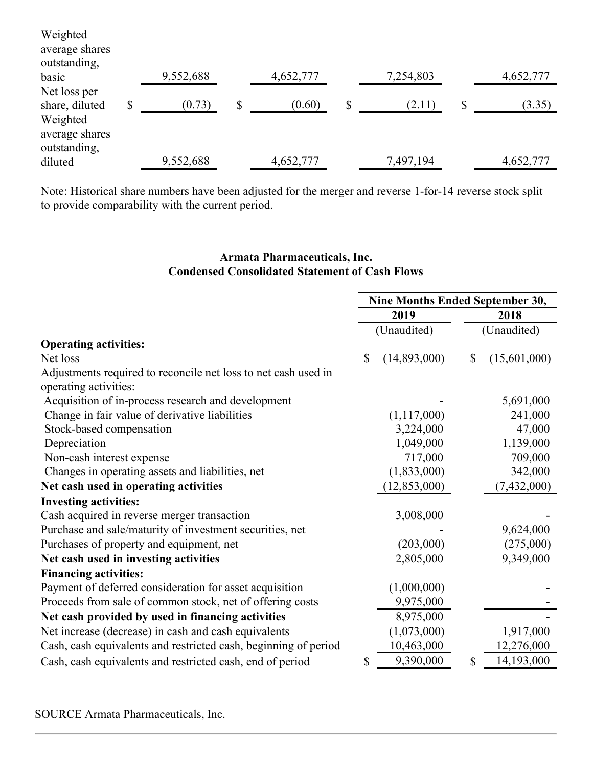| Weighted<br>average shares                 |              |              |              |              |
|--------------------------------------------|--------------|--------------|--------------|--------------|
| outstanding,<br>basic                      | 9,552,688    | 4,652,777    | 7,254,803    | 4,652,777    |
| Net loss per<br>share, diluted             | \$<br>(0.73) | \$<br>(0.60) | \$<br>(2.11) | \$<br>(3.35) |
| Weighted<br>average shares<br>outstanding, |              |              |              |              |
| diluted                                    | 9,552,688    | 4,652,777    | 7,497,194    | 4,652,777    |

Note: Historical share numbers have been adjusted for the merger and reverse 1-for-14 reverse stock split to provide comparability with the current period.

## **Armata Pharmaceuticals, Inc. Condensed Consolidated Statement of Cash Flows**

|                                                                 | Nine Months Ended September 30, |                |                     |               |  |
|-----------------------------------------------------------------|---------------------------------|----------------|---------------------|---------------|--|
|                                                                 |                                 | 2019           | 2018<br>(Unaudited) |               |  |
|                                                                 |                                 | (Unaudited)    |                     |               |  |
| <b>Operating activities:</b>                                    |                                 |                |                     |               |  |
| Net loss                                                        | \$                              | (14,893,000)   | $\mathbb{S}$        | (15,601,000)  |  |
| Adjustments required to reconcile net loss to net cash used in  |                                 |                |                     |               |  |
| operating activities:                                           |                                 |                |                     |               |  |
| Acquisition of in-process research and development              |                                 |                |                     | 5,691,000     |  |
| Change in fair value of derivative liabilities                  |                                 | (1,117,000)    |                     | 241,000       |  |
| Stock-based compensation                                        |                                 | 3,224,000      |                     | 47,000        |  |
| Depreciation                                                    |                                 | 1,049,000      |                     | 1,139,000     |  |
| Non-cash interest expense                                       |                                 | 717,000        |                     | 709,000       |  |
| Changes in operating assets and liabilities, net                |                                 | (1,833,000)    |                     | 342,000       |  |
| Net cash used in operating activities                           |                                 | (12, 853, 000) |                     | (7, 432, 000) |  |
| <b>Investing activities:</b>                                    |                                 |                |                     |               |  |
| Cash acquired in reverse merger transaction                     |                                 | 3,008,000      |                     |               |  |
| Purchase and sale/maturity of investment securities, net        |                                 |                |                     | 9,624,000     |  |
| Purchases of property and equipment, net                        |                                 | (203,000)      |                     | (275,000)     |  |
| Net cash used in investing activities                           |                                 | 2,805,000      |                     | 9,349,000     |  |
| <b>Financing activities:</b>                                    |                                 |                |                     |               |  |
| Payment of deferred consideration for asset acquisition         |                                 | (1,000,000)    |                     |               |  |
| Proceeds from sale of common stock, net of offering costs       |                                 | 9,975,000      |                     |               |  |
| Net cash provided by used in financing activities               |                                 | 8,975,000      |                     |               |  |
| Net increase (decrease) in cash and cash equivalents            |                                 | (1,073,000)    |                     | 1,917,000     |  |
| Cash, cash equivalents and restricted cash, beginning of period |                                 | 10,463,000     |                     | 12,276,000    |  |
| Cash, cash equivalents and restricted cash, end of period       | \$                              | 9,390,000      | \$                  | 14,193,000    |  |